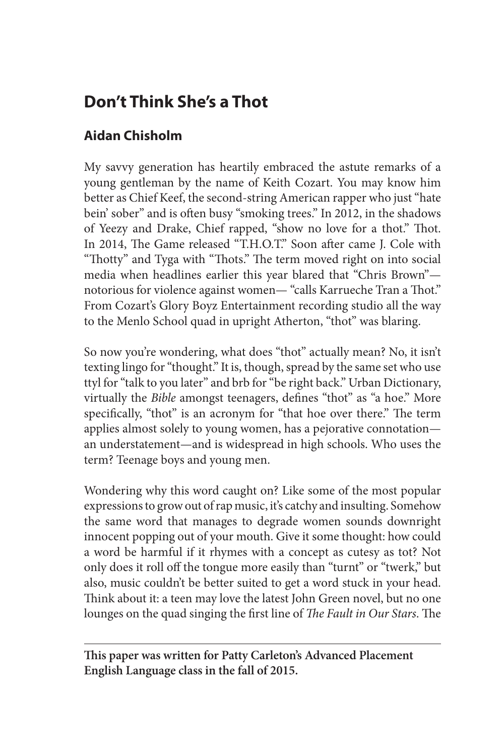## **Don't Think She's a Thot**

## **Aidan Chisholm**

My savvy generation has heartily embraced the astute remarks of a young gentleman by the name of Keith Cozart. You may know him better as Chief Keef, the second-string American rapper who just "hate bein' sober" and is often busy "smoking trees." In 2012, in the shadows of Yeezy and Drake, Chief rapped, "show no love for a thot." Thot. In 2014, The Game released "T.H.O.T." Soon after came J. Cole with "Thotty" and Tyga with "Thots." The term moved right on into social media when headlines earlier this year blared that "Chris Brown" notorious for violence against women— "calls Karrueche Tran a Thot." From Cozart's Glory Boyz Entertainment recording studio all the way to the Menlo School quad in upright Atherton, "thot" was blaring.

So now you're wondering, what does "thot" actually mean? No, it isn't texting lingo for "thought." It is, though, spread by the same set who use ttyl for "talk to you later" and brb for "be right back." Urban Dictionary, virtually the *Bible* amongst teenagers, defines "thot" as "a hoe." More specifically, "thot" is an acronym for "that hoe over there." The term applies almost solely to young women, has a pejorative connotation an understatement—and is widespread in high schools. Who uses the term? Teenage boys and young men.

Wondering why this word caught on? Like some of the most popular expressions to grow out of rap music, it's catchy and insulting. Somehow the same word that manages to degrade women sounds downright innocent popping out of your mouth. Give it some thought: how could a word be harmful if it rhymes with a concept as cutesy as tot? Not only does it roll off the tongue more easily than "turnt" or "twerk," but also, music couldn't be better suited to get a word stuck in your head. Think about it: a teen may love the latest John Green novel, but no one lounges on the quad singing the first line of *The Fault in Our Stars*. The

**This paper was written for Patty Carleton's Advanced Placement English Language class in the fall of 2015.**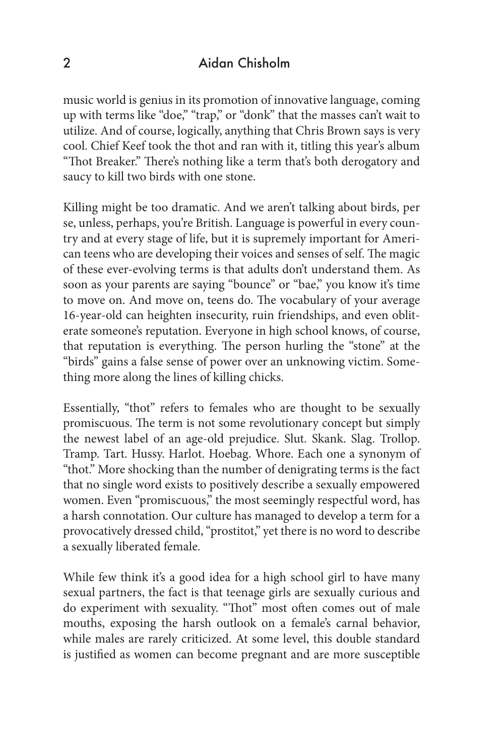## 2 Aidan Chisholm

music world is genius in its promotion of innovative language, coming up with terms like "doe," "trap," or "donk" that the masses can't wait to utilize. And of course, logically, anything that Chris Brown says is very cool. Chief Keef took the thot and ran with it, titling this year's album "Thot Breaker." There's nothing like a term that's both derogatory and saucy to kill two birds with one stone.

Killing might be too dramatic. And we aren't talking about birds, per se, unless, perhaps, you're British. Language is powerful in every country and at every stage of life, but it is supremely important for American teens who are developing their voices and senses of self. The magic of these ever-evolving terms is that adults don't understand them. As soon as your parents are saying "bounce" or "bae," you know it's time to move on. And move on, teens do. The vocabulary of your average 16-year-old can heighten insecurity, ruin friendships, and even obliterate someone's reputation. Everyone in high school knows, of course, that reputation is everything. The person hurling the "stone" at the "birds" gains a false sense of power over an unknowing victim. Something more along the lines of killing chicks.

Essentially, "thot" refers to females who are thought to be sexually promiscuous. The term is not some revolutionary concept but simply the newest label of an age-old prejudice. Slut. Skank. Slag. Trollop. Tramp. Tart. Hussy. Harlot. Hoebag. Whore. Each one a synonym of "thot." More shocking than the number of denigrating terms is the fact that no single word exists to positively describe a sexually empowered women. Even "promiscuous," the most seemingly respectful word, has a harsh connotation. Our culture has managed to develop a term for a provocatively dressed child, "prostitot," yet there is no word to describe a sexually liberated female.

While few think it's a good idea for a high school girl to have many sexual partners, the fact is that teenage girls are sexually curious and do experiment with sexuality. "Thot" most often comes out of male mouths, exposing the harsh outlook on a female's carnal behavior, while males are rarely criticized. At some level, this double standard is justified as women can become pregnant and are more susceptible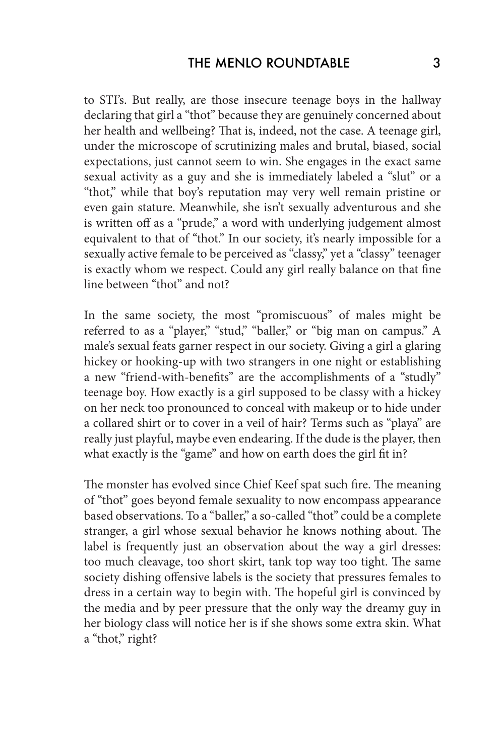to STI's. But really, are those insecure teenage boys in the hallway declaring that girl a "thot" because they are genuinely concerned about her health and wellbeing? That is, indeed, not the case. A teenage girl, under the microscope of scrutinizing males and brutal, biased, social expectations, just cannot seem to win. She engages in the exact same sexual activity as a guy and she is immediately labeled a "slut" or a "thot," while that boy's reputation may very well remain pristine or even gain stature. Meanwhile, she isn't sexually adventurous and she is written off as a "prude," a word with underlying judgement almost equivalent to that of "thot." In our society, it's nearly impossible for a sexually active female to be perceived as "classy," yet a "classy" teenager is exactly whom we respect. Could any girl really balance on that fine line between "thot" and not?

In the same society, the most "promiscuous" of males might be referred to as a "player," "stud," "baller," or "big man on campus." A male's sexual feats garner respect in our society. Giving a girl a glaring hickey or hooking-up with two strangers in one night or establishing a new "friend-with-benefits" are the accomplishments of a "studly" teenage boy. How exactly is a girl supposed to be classy with a hickey on her neck too pronounced to conceal with makeup or to hide under a collared shirt or to cover in a veil of hair? Terms such as "playa" are really just playful, maybe even endearing. If the dude is the player, then what exactly is the "game" and how on earth does the girl fit in?

The monster has evolved since Chief Keef spat such fire. The meaning of "thot" goes beyond female sexuality to now encompass appearance based observations. To a "baller," a so-called "thot" could be a complete stranger, a girl whose sexual behavior he knows nothing about. The label is frequently just an observation about the way a girl dresses: too much cleavage, too short skirt, tank top way too tight. The same society dishing offensive labels is the society that pressures females to dress in a certain way to begin with. The hopeful girl is convinced by the media and by peer pressure that the only way the dreamy guy in her biology class will notice her is if she shows some extra skin. What a "thot," right?